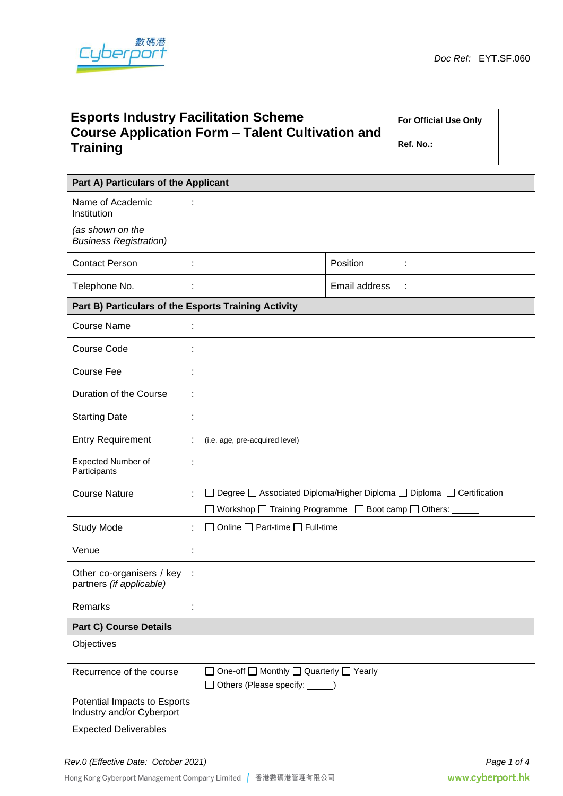

# **Esports Industry Facilitation Scheme Course Application Form – Talent Cultivation and Training**

**For Official Use Only**

**Ref. No.:**

| Part A) Particulars of the Applicant                       |                                                                                   |               |  |  |
|------------------------------------------------------------|-----------------------------------------------------------------------------------|---------------|--|--|
| Name of Academic<br>Institution                            |                                                                                   |               |  |  |
| (as shown on the<br><b>Business Registration)</b>          |                                                                                   |               |  |  |
| <b>Contact Person</b><br>t                                 |                                                                                   | Position<br>t |  |  |
| Telephone No.<br>t                                         |                                                                                   | Email address |  |  |
| Part B) Particulars of the Esports Training Activity       |                                                                                   |               |  |  |
| <b>Course Name</b><br>t                                    |                                                                                   |               |  |  |
| <b>Course Code</b><br>t                                    |                                                                                   |               |  |  |
| Course Fee<br>t                                            |                                                                                   |               |  |  |
| Duration of the Course<br>t                                |                                                                                   |               |  |  |
| <b>Starting Date</b><br>t                                  |                                                                                   |               |  |  |
| <b>Entry Requirement</b><br>t,                             | (i.e. age, pre-acquired level)                                                    |               |  |  |
| <b>Expected Number of</b><br>t<br>Participants             |                                                                                   |               |  |  |
| <b>Course Nature</b><br>÷                                  | Degree □ Associated Diploma/Higher Diploma □ Diploma □ Certification              |               |  |  |
|                                                            | ◯ Workshop ◯ Training Programme ◯ Boot camp ◯ Others:                             |               |  |  |
| <b>Study Mode</b><br>t.                                    | $\Box$ Online $\Box$ Part-time $\Box$ Full-time                                   |               |  |  |
| Venue<br>t                                                 |                                                                                   |               |  |  |
| Other co-organisers / key<br>÷<br>partners (if applicable) |                                                                                   |               |  |  |
| Remarks<br>t,                                              |                                                                                   |               |  |  |
| <b>Part C) Course Details</b>                              |                                                                                   |               |  |  |
| Objectives                                                 |                                                                                   |               |  |  |
| Recurrence of the course                                   | One-off □ Monthly □ Quarterly □ Yearly<br>□ Others (Please specify: <u>● ● </u> ) |               |  |  |
| Potential Impacts to Esports<br>Industry and/or Cyberport  |                                                                                   |               |  |  |
| <b>Expected Deliverables</b>                               |                                                                                   |               |  |  |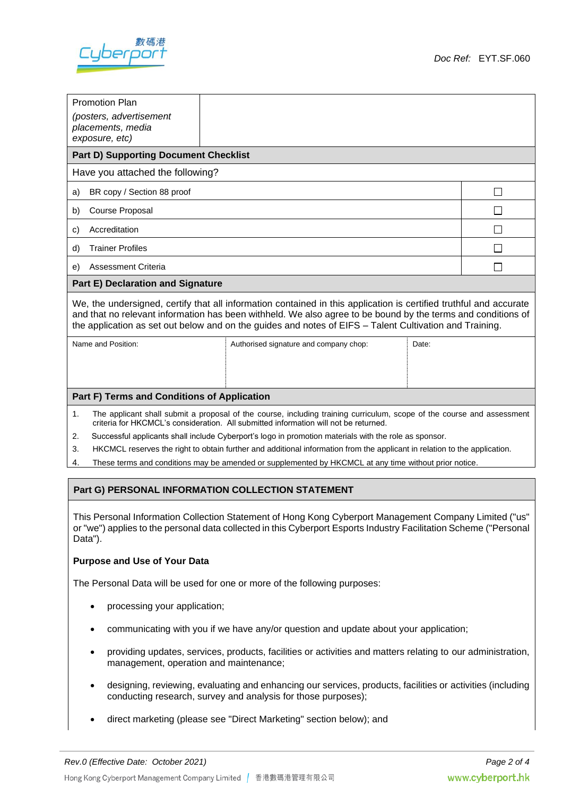

| <b>Promotion Plan</b><br>(posters, advertisement                                                                                                                                                                                                                                                                                              |                                        |       |  |  |  |
|-----------------------------------------------------------------------------------------------------------------------------------------------------------------------------------------------------------------------------------------------------------------------------------------------------------------------------------------------|----------------------------------------|-------|--|--|--|
| placements, media<br>exposure, etc)                                                                                                                                                                                                                                                                                                           |                                        |       |  |  |  |
| <b>Part D) Supporting Document Checklist</b>                                                                                                                                                                                                                                                                                                  |                                        |       |  |  |  |
| Have you attached the following?                                                                                                                                                                                                                                                                                                              |                                        |       |  |  |  |
| a) BR copy / Section 88 proof                                                                                                                                                                                                                                                                                                                 |                                        |       |  |  |  |
| Course Proposal<br>b)                                                                                                                                                                                                                                                                                                                         |                                        |       |  |  |  |
| Accreditation<br>C)                                                                                                                                                                                                                                                                                                                           |                                        |       |  |  |  |
| <b>Trainer Profiles</b><br>d)                                                                                                                                                                                                                                                                                                                 |                                        |       |  |  |  |
| Assessment Criteria<br>e)                                                                                                                                                                                                                                                                                                                     |                                        |       |  |  |  |
| <b>Part E) Declaration and Signature</b>                                                                                                                                                                                                                                                                                                      |                                        |       |  |  |  |
| We, the undersigned, certify that all information contained in this application is certified truthful and accurate<br>and that no relevant information has been withheld. We also agree to be bound by the terms and conditions of<br>the application as set out below and on the guides and notes of EIFS - Talent Cultivation and Training. |                                        |       |  |  |  |
| Name and Position:                                                                                                                                                                                                                                                                                                                            | Authorised signature and company chop: | Date: |  |  |  |

# **Part F) Terms and Conditions of Application**

- 1. The applicant shall submit a proposal of the course, including training curriculum, scope of the course and assessment criteria for HKCMCL's consideration. All submitted information will not be returned.
- 2. Successful applicants shall include Cyberport's logo in promotion materials with the role as sponsor.
- 3. HKCMCL reserves the right to obtain further and additional information from the applicant in relation to the application.
- 4. These terms and conditions may be amended or supplemented by HKCMCL at any time without prior notice.

#### **Part G) PERSONAL INFORMATION COLLECTION STATEMENT**

This Personal Information Collection Statement of Hong Kong Cyberport Management Company Limited ("us" or "we") applies to the personal data collected in this Cyberport Esports Industry Facilitation Scheme ("Personal Data").

#### **Purpose and Use of Your Data**

The Personal Data will be used for one or more of the following purposes:

- processing your application;
- communicating with you if we have any/or question and update about your application;
- providing updates, services, products, facilities or activities and matters relating to our administration, management, operation and maintenance;
- designing, reviewing, evaluating and enhancing our services, products, facilities or activities (including conducting research, survey and analysis for those purposes);
- direct marketing (please see "Direct Marketing" section below); and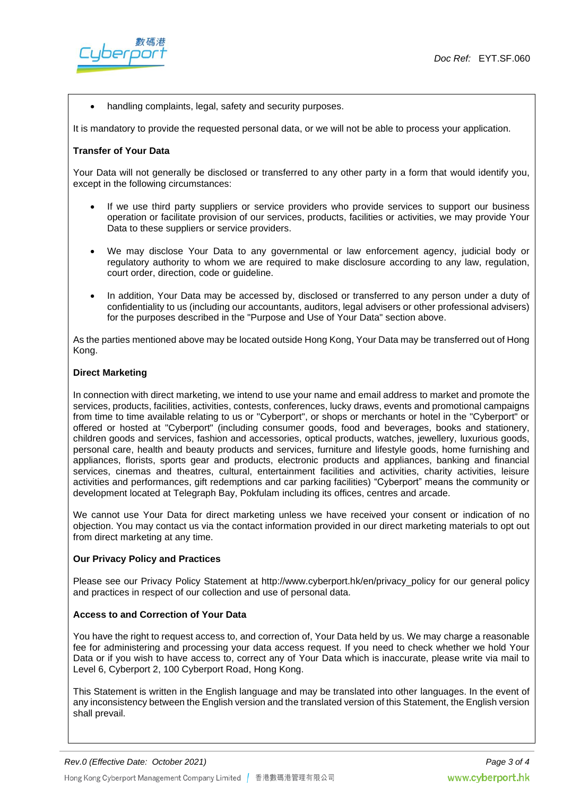

• handling complaints, legal, safety and security purposes.

It is mandatory to provide the requested personal data, or we will not be able to process your application.

### **Transfer of Your Data**

Your Data will not generally be disclosed or transferred to any other party in a form that would identify you, except in the following circumstances:

- If we use third party suppliers or service providers who provide services to support our business operation or facilitate provision of our services, products, facilities or activities, we may provide Your Data to these suppliers or service providers.
- We may disclose Your Data to any governmental or law enforcement agency, judicial body or regulatory authority to whom we are required to make disclosure according to any law, regulation, court order, direction, code or guideline.
- In addition, Your Data may be accessed by, disclosed or transferred to any person under a duty of confidentiality to us (including our accountants, auditors, legal advisers or other professional advisers) for the purposes described in the "Purpose and Use of Your Data" section above.

As the parties mentioned above may be located outside Hong Kong, Your Data may be transferred out of Hong Kong.

### **Direct Marketing**

In connection with direct marketing, we intend to use your name and email address to market and promote the services, products, facilities, activities, contests, conferences, lucky draws, events and promotional campaigns from time to time available relating to us or "Cyberport", or shops or merchants or hotel in the "Cyberport" or offered or hosted at "Cyberport" (including consumer goods, food and beverages, books and stationery, children goods and services, fashion and accessories, optical products, watches, jewellery, luxurious goods, personal care, health and beauty products and services, furniture and lifestyle goods, home furnishing and appliances, florists, sports gear and products, electronic products and appliances, banking and financial services, cinemas and theatres, cultural, entertainment facilities and activities, charity activities, leisure activities and performances, gift redemptions and car parking facilities) "Cyberport" means the community or development located at Telegraph Bay, Pokfulam including its offices, centres and arcade.

We cannot use Your Data for direct marketing unless we have received your consent or indication of no objection. You may contact us via the contact information provided in our direct marketing materials to opt out from direct marketing at any time.

## **Our Privacy Policy and Practices**

Please see our Privacy Policy Statement at http://www.cyberport.hk/en/privacy\_policy for our general policy and practices in respect of our collection and use of personal data.

## **Access to and Correction of Your Data**

You have the right to request access to, and correction of, Your Data held by us. We may charge a reasonable fee for administering and processing your data access request. If you need to check whether we hold Your Data or if you wish to have access to, correct any of Your Data which is inaccurate, please write via mail to Level 6, Cyberport 2, 100 Cyberport Road, Hong Kong.

This Statement is written in the English language and may be translated into other languages. In the event of any inconsistency between the English version and the translated version of this Statement, the English version shall prevail.